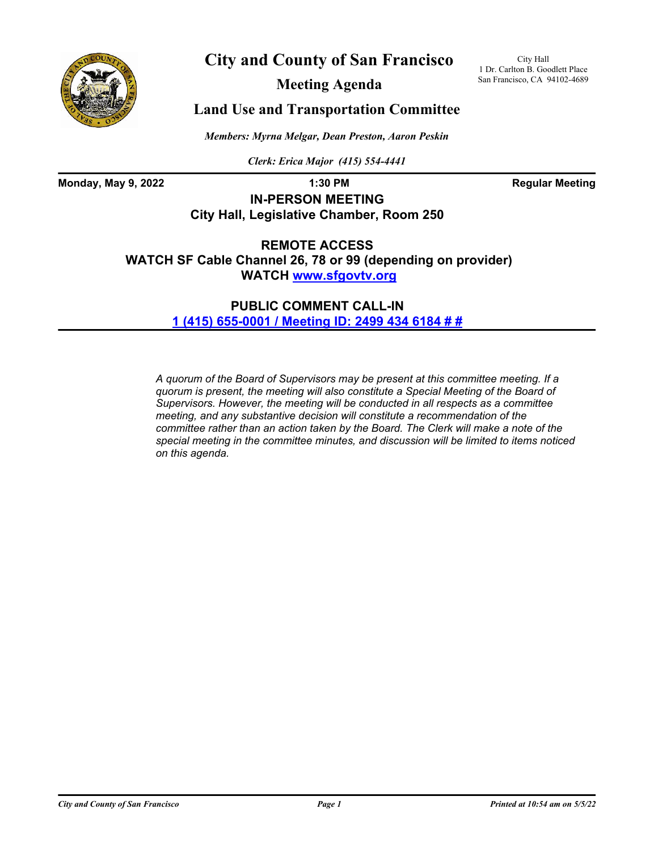

# **City and County of San Francisco**

City Hall 1 Dr. Carlton B. Goodlett Place San Francisco, CA 94102-4689

**Meeting Agenda**

# **Land Use and Transportation Committee**

*Members: Myrna Melgar, Dean Preston, Aaron Peskin*

*Clerk: Erica Major (415) 554-4441*

**Monday, May 9, 2022 1:30 PM 1:30 PM Regular Meeting** 

**IN-PERSON MEETING City Hall, Legislative Chamber, Room 250**

**REMOTE ACCESS WATCH SF Cable Channel 26, 78 or 99 (depending on provider) WATC[H www.sfgovtv.org](www.sfgovtv.org)**

> **PUBLIC COMMENT CALL-IN [1 \(415\) 655-0001 / Meeting ID: 2499 434 6184 # #](tel:+14156550001,,24994346184#,,#)**

*A quorum of the Board of Supervisors may be present at this committee meeting. If a quorum is present, the meeting will also constitute a Special Meeting of the Board of Supervisors. However, the meeting will be conducted in all respects as a committee meeting, and any substantive decision will constitute a recommendation of the committee rather than an action taken by the Board. The Clerk will make a note of the special meeting in the committee minutes, and discussion will be limited to items noticed on this agenda.*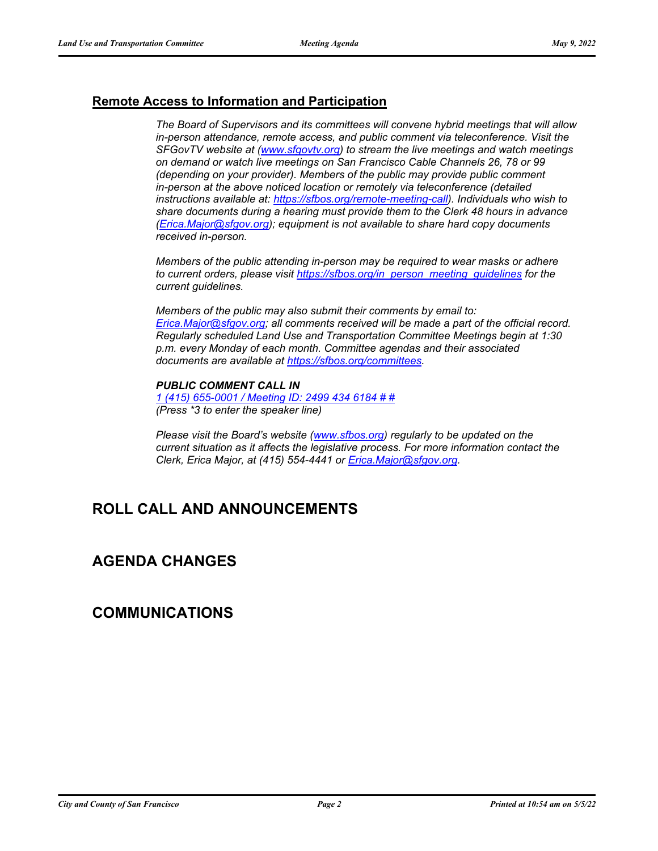## **Remote Access to Information and Participation**

*The Board of Supervisors and its committees will convene hybrid meetings that will allow in-person attendance, remote access, and public comment via teleconference. Visit the SFGovTV website a[t \(www.sfgovtv.org\) to s](www.sfgovtv.org)tream the live meetings and watch meetings on demand or watch live meetings on San Francisco Cable Channels 26, 78 or 99 (depending on your provider). Members of the public may provide public comment in-person at the above noticed location or remotely via teleconference (detailed instructions available at[: https://sfbos.org/remote-meeting-call\).](https://sfbos.org/remote-meeting-call) Individuals who wish to share documents during a hearing must provide them to the Clerk 48 hours in advance [\(Erica.Major@sfgov.org\); eq](mailto:Erica.Major@sfgov.org)uipment is not available to share hard copy documents received in-person.*

*Members of the public attending in-person may be required to wear masks or adhere to current orders, please visi[t https://sfbos.org/in\\_person\\_meeting\\_guidelines fo](https://sfbos.org/in_person_meeting_guidelines)r the current guidelines.*

*Members of the public may also submit their comments by email to: [Erica.Major@sfgov.org; a](mailto:Erica.Major@sfgov.org)ll comments received will be made a part of the official record. Regularly scheduled Land Use and Transportation Committee Meetings begin at 1:30 p.m. every Monday of each month. Committee agendas and their associated documents are available [at https://sfbos.org/committees.](https://sfbos.org/committees)*

#### *PUBLIC COMMENT CALL IN*

*[1 \(415\) 655-0001 / Meeting ID: 2499 434 6184 # #](tel:+14156550001,,24994346184#,,#) (Press \*3 to enter the speaker line)*

*Please visit the Board's websit[e \(www.sfbos.org\) re](www.sfbos.org)gularly to be updated on the current situation as it affects the legislative process. For more information contact the Clerk, Erica Major, at (415) 554-4441 [or Erica.Major@sfgov.org.](mailto:Erica.Major@sfgov.org)*

# **ROLL CALL AND ANNOUNCEMENTS**

## **AGENDA CHANGES**

## **COMMUNICATIONS**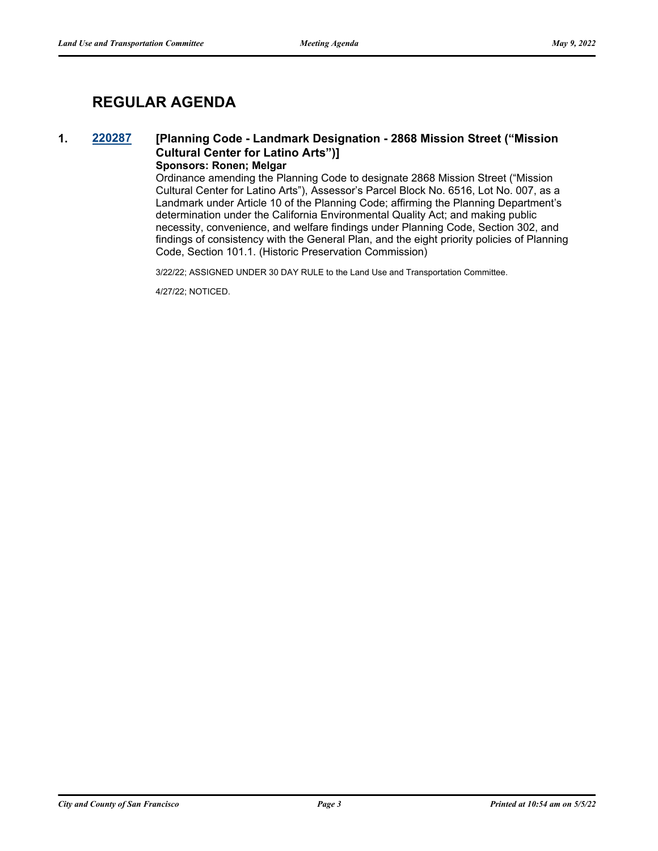# **REGULAR AGENDA**

## **1. [220287](http://sfgov.legistar.com/gateway.aspx?m=l&id=38479) [Planning Code - Landmark Designation - 2868 Mission Street ("Mission Cultural Center for Latino Arts")]**

### **Sponsors: Ronen; Melgar**

Ordinance amending the Planning Code to designate 2868 Mission Street ("Mission Cultural Center for Latino Arts"), Assessor's Parcel Block No. 6516, Lot No. 007, as a Landmark under Article 10 of the Planning Code; affirming the Planning Department's determination under the California Environmental Quality Act; and making public necessity, convenience, and welfare findings under Planning Code, Section 302, and findings of consistency with the General Plan, and the eight priority policies of Planning Code, Section 101.1. (Historic Preservation Commission)

3/22/22; ASSIGNED UNDER 30 DAY RULE to the Land Use and Transportation Committee.

4/27/22; NOTICED.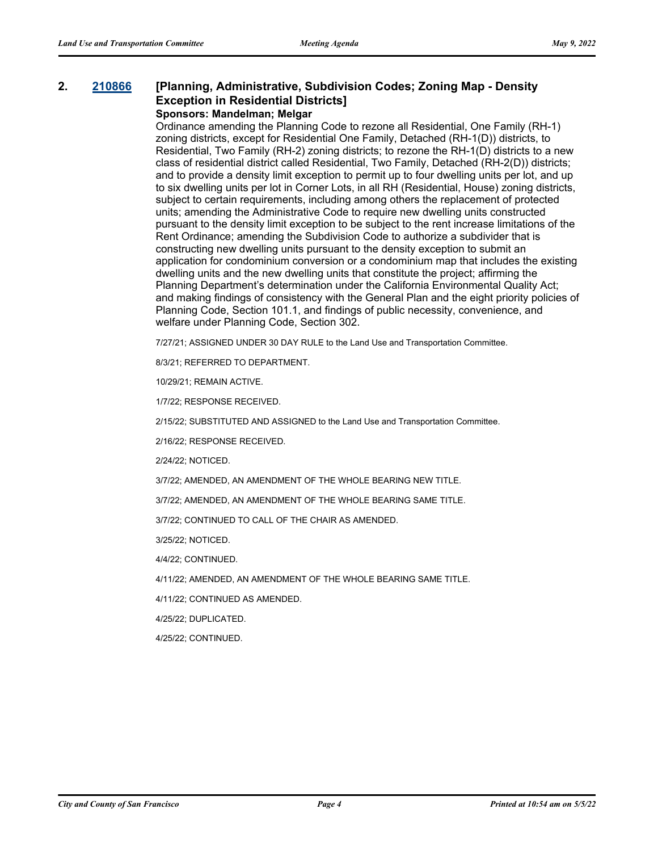#### **2. [210866](http://sfgov.legistar.com/gateway.aspx?m=l&id=37736) [Planning, Administrative, Subdivision Codes; Zoning Map - Density Exception in Residential Districts] Sponsors: Mandelman; Melgar**

Ordinance amending the Planning Code to rezone all Residential, One Family (RH-1) zoning districts, except for Residential One Family, Detached (RH-1(D)) districts, to Residential, Two Family (RH-2) zoning districts; to rezone the RH-1(D) districts to a new class of residential district called Residential, Two Family, Detached (RH-2(D)) districts; and to provide a density limit exception to permit up to four dwelling units per lot, and up to six dwelling units per lot in Corner Lots, in all RH (Residential, House) zoning districts, subject to certain requirements, including among others the replacement of protected units; amending the Administrative Code to require new dwelling units constructed pursuant to the density limit exception to be subject to the rent increase limitations of the Rent Ordinance; amending the Subdivision Code to authorize a subdivider that is constructing new dwelling units pursuant to the density exception to submit an application for condominium conversion or a condominium map that includes the existing dwelling units and the new dwelling units that constitute the project; affirming the Planning Department's determination under the California Environmental Quality Act; and making findings of consistency with the General Plan and the eight priority policies of Planning Code, Section 101.1, and findings of public necessity, convenience, and welfare under Planning Code, Section 302.

7/27/21; ASSIGNED UNDER 30 DAY RULE to the Land Use and Transportation Committee.

8/3/21; REFERRED TO DEPARTMENT.

10/29/21; REMAIN ACTIVE.

1/7/22; RESPONSE RECEIVED.

2/15/22; SUBSTITUTED AND ASSIGNED to the Land Use and Transportation Committee.

2/16/22; RESPONSE RECEIVED.

2/24/22; NOTICED.

3/7/22; AMENDED, AN AMENDMENT OF THE WHOLE BEARING NEW TITLE.

3/7/22; AMENDED, AN AMENDMENT OF THE WHOLE BEARING SAME TITLE.

3/7/22; CONTINUED TO CALL OF THE CHAIR AS AMENDED.

3/25/22; NOTICED.

4/4/22; CONTINUED.

4/11/22; AMENDED, AN AMENDMENT OF THE WHOLE BEARING SAME TITLE.

4/11/22; CONTINUED AS AMENDED.

4/25/22; DUPLICATED.

4/25/22; CONTINUED.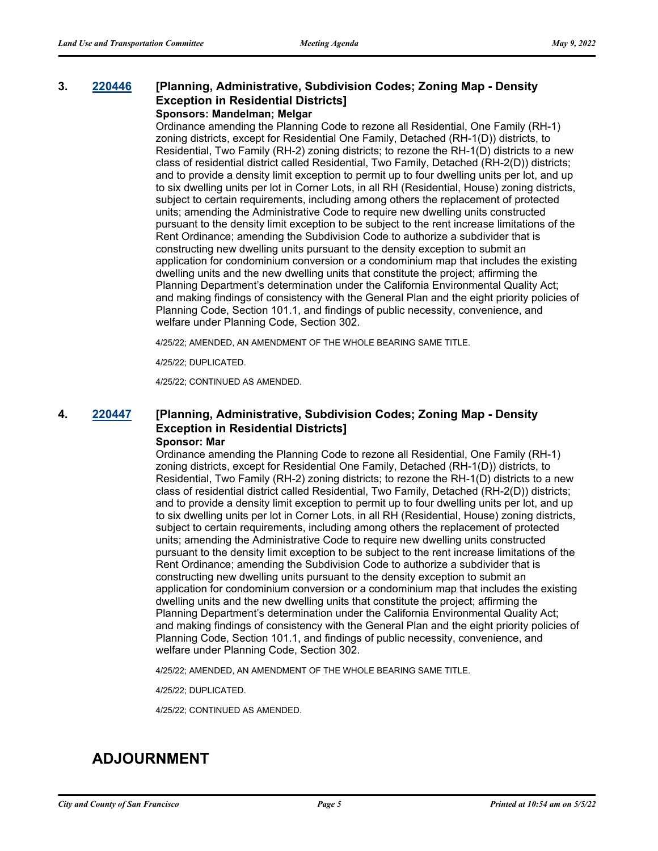#### **3. [220446](http://sfgov.legistar.com/gateway.aspx?m=l&id=38638) [Planning, Administrative, Subdivision Codes; Zoning Map - Density Exception in Residential Districts] Sponsors: Mandelman; Melgar**

Ordinance amending the Planning Code to rezone all Residential, One Family (RH-1) zoning districts, except for Residential One Family, Detached (RH-1(D)) districts, to Residential, Two Family (RH-2) zoning districts; to rezone the RH-1(D) districts to a new class of residential district called Residential, Two Family, Detached (RH-2(D)) districts; and to provide a density limit exception to permit up to four dwelling units per lot, and up to six dwelling units per lot in Corner Lots, in all RH (Residential, House) zoning districts, subject to certain requirements, including among others the replacement of protected units; amending the Administrative Code to require new dwelling units constructed pursuant to the density limit exception to be subject to the rent increase limitations of the Rent Ordinance; amending the Subdivision Code to authorize a subdivider that is constructing new dwelling units pursuant to the density exception to submit an application for condominium conversion or a condominium map that includes the existing dwelling units and the new dwelling units that constitute the project; affirming the Planning Department's determination under the California Environmental Quality Act; and making findings of consistency with the General Plan and the eight priority policies of Planning Code, Section 101.1, and findings of public necessity, convenience, and welfare under Planning Code, Section 302.

4/25/22; AMENDED, AN AMENDMENT OF THE WHOLE BEARING SAME TITLE.

4/25/22; DUPLICATED.

4/25/22; CONTINUED AS AMENDED.

### **4. [220447](http://sfgov.legistar.com/gateway.aspx?m=l&id=38639) [Planning, Administrative, Subdivision Codes; Zoning Map - Density Exception in Residential Districts] Sponsor: Mar**

Ordinance amending the Planning Code to rezone all Residential, One Family (RH-1) zoning districts, except for Residential One Family, Detached (RH-1(D)) districts, to Residential, Two Family (RH-2) zoning districts; to rezone the RH-1(D) districts to a new class of residential district called Residential, Two Family, Detached (RH-2(D)) districts; and to provide a density limit exception to permit up to four dwelling units per lot, and up to six dwelling units per lot in Corner Lots, in all RH (Residential, House) zoning districts, subject to certain requirements, including among others the replacement of protected units; amending the Administrative Code to require new dwelling units constructed pursuant to the density limit exception to be subject to the rent increase limitations of the Rent Ordinance; amending the Subdivision Code to authorize a subdivider that is constructing new dwelling units pursuant to the density exception to submit an application for condominium conversion or a condominium map that includes the existing dwelling units and the new dwelling units that constitute the project; affirming the Planning Department's determination under the California Environmental Quality Act; and making findings of consistency with the General Plan and the eight priority policies of Planning Code, Section 101.1, and findings of public necessity, convenience, and welfare under Planning Code, Section 302.

4/25/22; AMENDED, AN AMENDMENT OF THE WHOLE BEARING SAME TITLE.

4/25/22; DUPLICATED.

4/25/22; CONTINUED AS AMENDED.

# **ADJOURNMENT**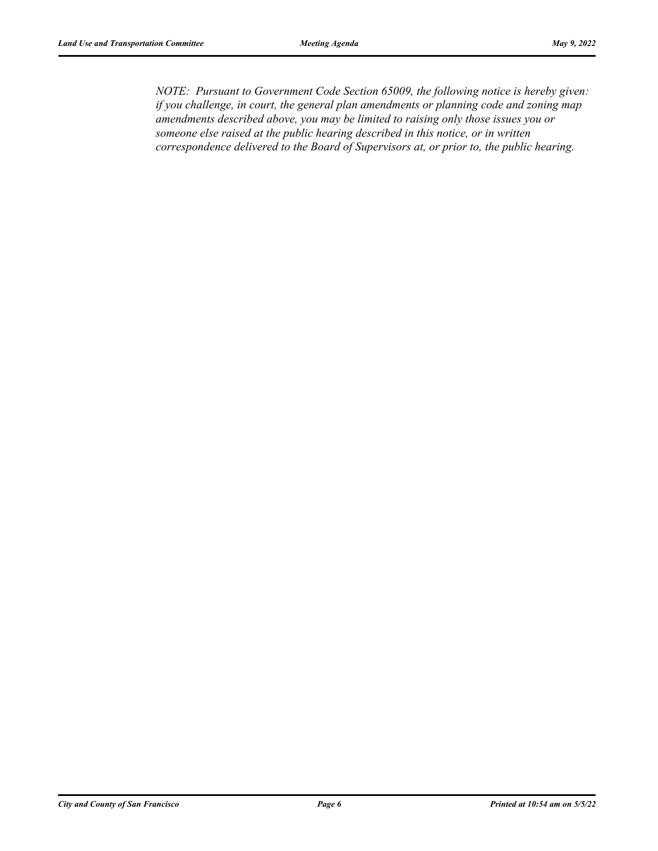*NOTE: Pursuant to Government Code Section 65009, the following notice is hereby given: if you challenge, in court, the general plan amendments or planning code and zoning map amendments described above, you may be limited to raising only those issues you or someone else raised at the public hearing described in this notice, or in written correspondence delivered to the Board of Supervisors at, or prior to, the public hearing.*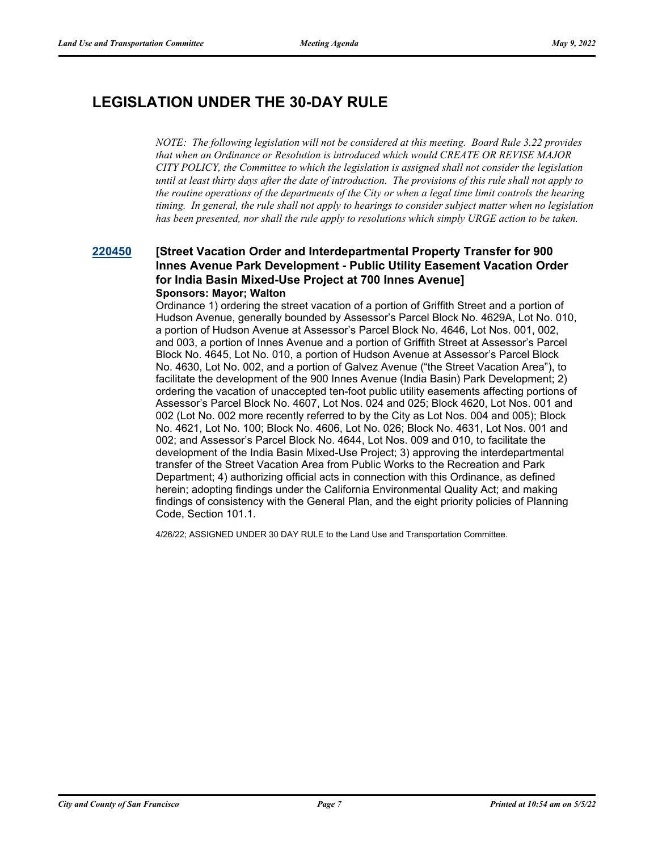# **LEGISLATION UNDER THE 30-DAY RULE**

*NOTE: The following legislation will not be considered at this meeting. Board Rule 3.22 provides that when an Ordinance or Resolution is introduced which would CREATE OR REVISE MAJOR CITY POLICY, the Committee to which the legislation is assigned shall not consider the legislation until at least thirty days after the date of introduction. The provisions of this rule shall not apply to the routine operations of the departments of the City or when a legal time limit controls the hearing timing. In general, the rule shall not apply to hearings to consider subject matter when no legislation has been presented, nor shall the rule apply to resolutions which simply URGE action to be taken.*

### **[220450](http://sfgov.legistar.com/gateway.aspx?m=l&id=38642) [Street Vacation Order and Interdepartmental Property Transfer for 900 Innes Avenue Park Development - Public Utility Easement Vacation Order for India Basin Mixed-Use Project at 700 Innes Avenue] Sponsors: Mayor; Walton**

Ordinance 1) ordering the street vacation of a portion of Griffith Street and a portion of Hudson Avenue, generally bounded by Assessor's Parcel Block No. 4629A, Lot No. 010, a portion of Hudson Avenue at Assessor's Parcel Block No. 4646, Lot Nos. 001, 002, and 003, a portion of Innes Avenue and a portion of Griffith Street at Assessor's Parcel Block No. 4645, Lot No. 010, a portion of Hudson Avenue at Assessor's Parcel Block No. 4630, Lot No. 002, and a portion of Galvez Avenue ("the Street Vacation Area"), to facilitate the development of the 900 Innes Avenue (India Basin) Park Development; 2) ordering the vacation of unaccepted ten-foot public utility easements affecting portions of Assessor's Parcel Block No. 4607, Lot Nos. 024 and 025; Block 4620, Lot Nos. 001 and 002 (Lot No. 002 more recently referred to by the City as Lot Nos. 004 and 005); Block No. 4621, Lot No. 100; Block No. 4606, Lot No. 026; Block No. 4631, Lot Nos. 001 and 002; and Assessor's Parcel Block No. 4644, Lot Nos. 009 and 010, to facilitate the development of the India Basin Mixed-Use Project; 3) approving the interdepartmental transfer of the Street Vacation Area from Public Works to the Recreation and Park Department; 4) authorizing official acts in connection with this Ordinance, as defined herein; adopting findings under the California Environmental Quality Act; and making findings of consistency with the General Plan, and the eight priority policies of Planning Code, Section 101.1.

4/26/22; ASSIGNED UNDER 30 DAY RULE to the Land Use and Transportation Committee.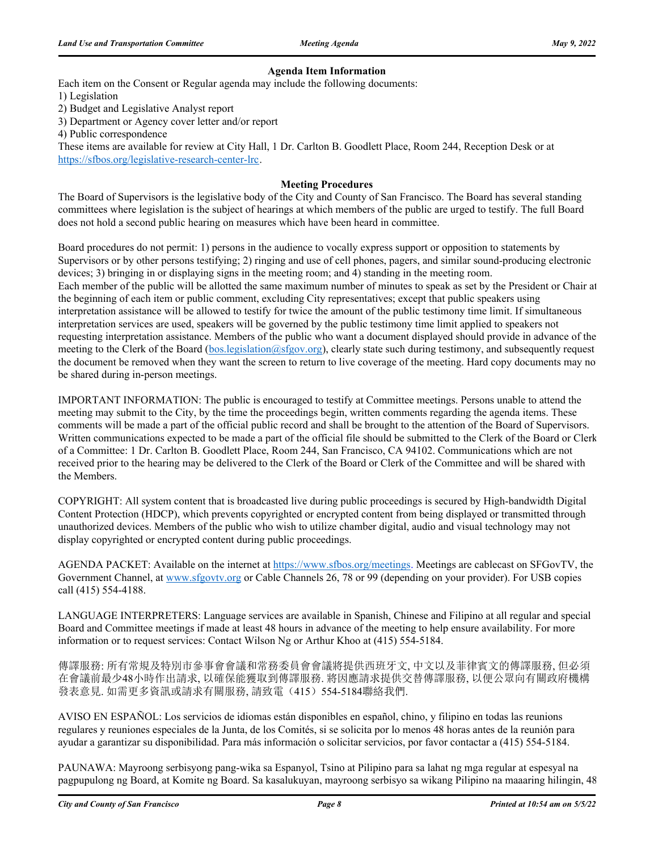#### **Agenda Item Information**

Each item on the Consent or Regular agenda may include the following documents:

1) Legislation

2) Budget and Legislative Analyst report

3) Department or Agency cover letter and/or report

4) Public correspondence

These items are available for review at City Hall, 1 Dr. Carlton B. Goodlett Place, Room 244, Reception Desk or at https://sfbos.org/legislative-research-center-lrc.

#### **Meeting Procedures**

The Board of Supervisors is the legislative body of the City and County of San Francisco. The Board has several standing committees where legislation is the subject of hearings at which members of the public are urged to testify. The full Board does not hold a second public hearing on measures which have been heard in committee.

Board procedures do not permit: 1) persons in the audience to vocally express support or opposition to statements by Supervisors or by other persons testifying; 2) ringing and use of cell phones, pagers, and similar sound-producing electronic devices; 3) bringing in or displaying signs in the meeting room; and 4) standing in the meeting room. Each member of the public will be allotted the same maximum number of minutes to speak as set by the President or Chair at the beginning of each item or public comment, excluding City representatives; except that public speakers using interpretation assistance will be allowed to testify for twice the amount of the public testimony time limit. If simultaneous interpretation services are used, speakers will be governed by the public testimony time limit applied to speakers not requesting interpretation assistance. Members of the public who want a document displayed should provide in advance of the meeting to the Clerk of the Board (bos.legislation@sfgov.org), clearly state such during testimony, and subsequently request the document be removed when they want the screen to return to live coverage of the meeting. Hard copy documents may no be shared during in-person meetings.

IMPORTANT INFORMATION: The public is encouraged to testify at Committee meetings. Persons unable to attend the meeting may submit to the City, by the time the proceedings begin, written comments regarding the agenda items. These comments will be made a part of the official public record and shall be brought to the attention of the Board of Supervisors. Written communications expected to be made a part of the official file should be submitted to the Clerk of the Board or Clerk of a Committee: 1 Dr. Carlton B. Goodlett Place, Room 244, San Francisco, CA 94102. Communications which are not received prior to the hearing may be delivered to the Clerk of the Board or Clerk of the Committee and will be shared with the Members.

COPYRIGHT: All system content that is broadcasted live during public proceedings is secured by High-bandwidth Digital Content Protection (HDCP), which prevents copyrighted or encrypted content from being displayed or transmitted through unauthorized devices. Members of the public who wish to utilize chamber digital, audio and visual technology may not display copyrighted or encrypted content during public proceedings.

AGENDA PACKET: Available on the internet at https://www.sfbos.org/meetings. Meetings are cablecast on SFGovTV, the Government Channel, at www.sfgovtv.org or Cable Channels 26, 78 or 99 (depending on your provider). For USB copies call (415) 554-4188.

LANGUAGE INTERPRETERS: Language services are available in Spanish, Chinese and Filipino at all regular and special Board and Committee meetings if made at least 48 hours in advance of the meeting to help ensure availability. For more information or to request services: Contact Wilson Ng or Arthur Khoo at (415) 554-5184.

傳譯服務: 所有常規及特別市參事會會議和常務委員會會議將提供西班牙文, 中文以及菲律賓文的傳譯服務, 但必須 在會議前最少48小時作出請求, 以確保能獲取到傳譯服務. 將因應請求提供交替傳譯服務, 以便公眾向有關政府機構 發表意見. 如需更多資訊或請求有關服務, 請致電(415) 554-5184聯絡我們.

AVISO EN ESPAÑOL: Los servicios de idiomas están disponibles en español, chino, y filipino en todas las reunions regulares y reuniones especiales de la Junta, de los Comités, si se solicita por lo menos 48 horas antes de la reunión para ayudar a garantizar su disponibilidad. Para más información o solicitar servicios, por favor contactar a (415) 554-5184.

PAUNAWA: Mayroong serbisyong pang-wika sa Espanyol, Tsino at Pilipino para sa lahat ng mga regular at espesyal na pagpupulong ng Board, at Komite ng Board. Sa kasalukuyan, mayroong serbisyo sa wikang Pilipino na maaaring hilingin, 48